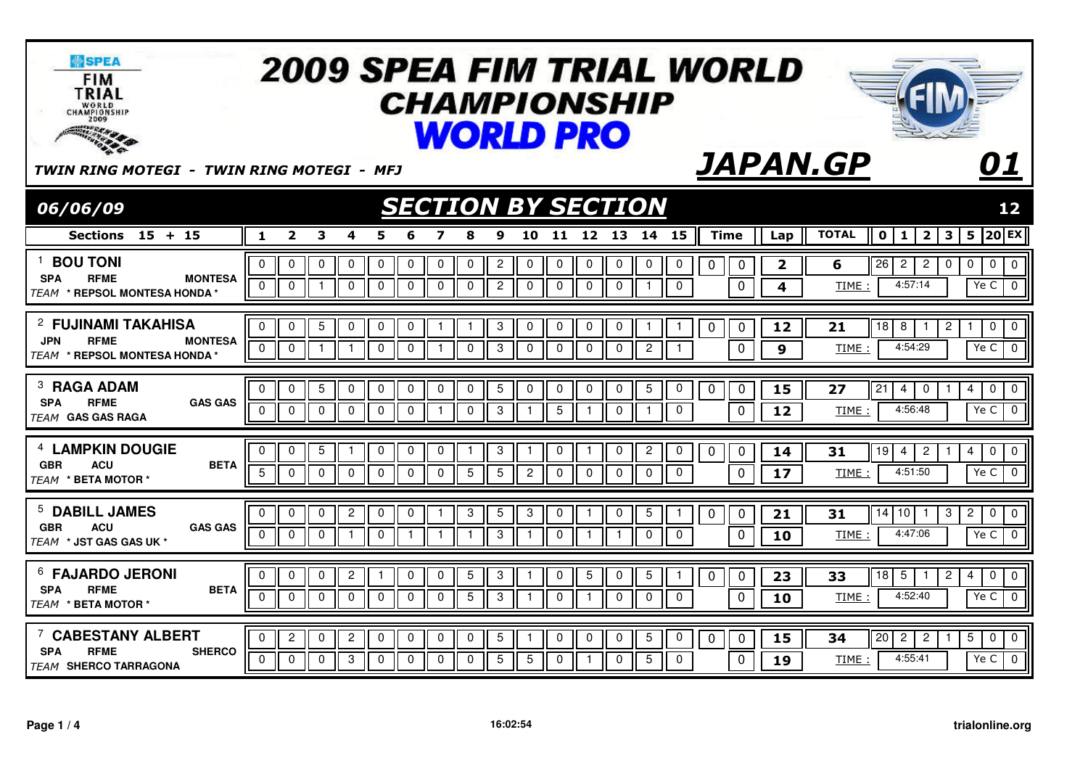| <b>SPEA</b><br><b>FIM</b><br>TRIAL<br>WORLD<br>CHAMPIONSHIP<br><b>100 SENSIG</b>                                    | <b>2009 SPEA FIM TRIAL WORLD</b><br><b>CHAMPIONSHIP</b><br><b>WORLD PRO</b>                                                                                                                                                                                                                                                                                                                                                                                                                                                                       |                                                                        |
|---------------------------------------------------------------------------------------------------------------------|---------------------------------------------------------------------------------------------------------------------------------------------------------------------------------------------------------------------------------------------------------------------------------------------------------------------------------------------------------------------------------------------------------------------------------------------------------------------------------------------------------------------------------------------------|------------------------------------------------------------------------|
| TWIN RING MOTEGI - TWIN RING MOTEGI - MFJ                                                                           | <b>JAPAN.GP</b>                                                                                                                                                                                                                                                                                                                                                                                                                                                                                                                                   | 01                                                                     |
| 06/06/09                                                                                                            | <b>SECTION BY SECTION</b>                                                                                                                                                                                                                                                                                                                                                                                                                                                                                                                         | 12                                                                     |
| Sections $15 + 15$                                                                                                  | <b>TOTAL</b><br>$\overline{\mathbf{2}}$<br>3<br>10<br>11<br>12 13<br>14<br>15<br><b>Time</b><br>2 <sup>1</sup><br>1<br>4<br>5<br>9<br>$\mathbf{o}$<br>1<br>8<br>Lap                                                                                                                                                                                                                                                                                                                                                                               | $ 20 $ EX<br>3<br>5                                                    |
| <sup>1</sup> BOU TONI<br><b>SPA</b><br><b>RFME</b><br><b>MONTESA</b><br><b>TEAM * REPSOL MONTESA HONDA</b>          | $\Omega$<br>$\mathbf 0$<br>$\mathbf 0$<br>$\mathbf 0$<br>$\overline{2}$<br>$\mathbf 0$<br>0<br>$\mathbf 0$<br>$\pmb{0}$<br>$\overline{26}$<br>0<br>0<br>0<br>0<br>0<br>0<br>$\mathbf 0$<br>$\pmb{0}$<br>$\overline{\mathbf{2}}$<br>6<br>$\overline{2}$<br>2<br>$\mathbf 0$<br>4:57:14<br>$\mathbf 0$<br>$\mathbf 0$<br>$\mathbf 0$<br>$\mathbf 0$<br>$\mathbf 0$<br>$\overline{2}$<br>$\pmb{0}$<br>$\pmb{0}$<br>$\mathbf 0$<br>$\mathbf 0$<br>$\overline{\mathbf{4}}$<br>$\mathbf 0$<br>$\mathbf 0$<br>$\mathbf 0$<br>$\mathbf{1}$<br>TIME:<br>-1 | $\pmb{0}$<br>$\overline{0}$<br>$\mathbf 0$<br>0<br>Ye C<br>$\mathbf 0$ |
| <sup>2</sup> FUJINAMI TAKAHISA<br><b>JPN</b><br><b>RFME</b><br><b>MONTESA</b><br><b>TEAM * REPSOL MONTESA HONDA</b> | $\overline{5}$<br>$\sqrt{3}$<br>$\Omega$<br>$\mathbf 0$<br>0<br>$\mathbf 0$<br>$\mathbf 0$<br>$\mathbf 0$<br>$\mathbf 0$<br>$\mathbf 0$<br>0<br>18<br>8<br>$\mathbf{1}$<br>$\mathbf{1}$<br>$\mathbf 0$<br>12<br>21<br>$\mathbf{1}$<br>-1<br>0<br>1<br>4:54:29<br>$\mathbf 0$<br>$\overline{0}$<br>$\mathbf 0$<br>$\mathbf{3}$<br>$\mathbf 0$<br>$\overline{2}$<br>$\mathbf 0$<br>$\Omega$<br>$\mathbf 0$<br>$\mathbf 0$<br>$\overline{0}$<br>$\overline{0}$<br>$\mathbf{1}$<br>$\overline{1}$<br>$\mathbf{1}$<br>9<br>TIME:<br>$\mathbf{1}$       | $\overline{c}$<br>0<br>$\mathbf 0$<br>1<br>Ye C<br>$\overline{0}$      |
| <sup>3</sup> RAGA ADAM<br><b>RFME</b><br><b>GAS GAS</b><br><b>SPA</b><br><b>TEAM GAS GAS RAGA</b>                   | $\mathbf 5$<br>$\mathbf 5$<br>$\pmb{0}$<br>$\pmb{0}$<br>0<br>0<br>0<br>$\pmb{0}$<br>0<br>5<br>0<br>$\overline{21}$<br>0<br>0<br>0<br>0<br>0<br>27<br>0<br>15<br>4<br>0<br>4:56:48<br>$\mathbf 0$<br>$\mathbf 0$<br>$\mathbf{3}$<br>5<br>$\mathbf 0$<br>$\mathbf 0$<br>$\mathbf 0$<br>0<br>$\mathbf 0$<br>$\mathbf 0$<br>$\mathbf 0$<br>12<br>$\Omega$<br>$\overline{1}$<br>$\overline{1}$<br>TIME:<br>-1<br>-1                                                                                                                                    | 0<br>0<br>4<br>Ye C<br>$\mathbf 0$                                     |
| <sup>4</sup> LAMPKIN DOUGIE<br><b>GBR</b><br><b>ACU</b><br><b>BETA</b><br>TFAM * BETA MOTOR *                       | $5\phantom{.0}$<br>3<br>0<br>0<br>0<br>0<br>$\mathbf 0$<br>0<br>$\overline{c}$<br>0<br>0<br>$\overline{1}$<br>$\mathbf{1}$<br>19<br>$\mathbf{1}$<br>0<br>0<br>14<br>31<br>4<br>2<br>$5\phantom{.0}$<br>5<br>$\mathbf 0$<br>$\mathbf 0$<br>5<br>$\mathbf 0$<br>$\mathbf 0$<br>$\mathbf 0$<br>$\overline{2}$<br>$\mathbf 0$<br>$\mathbf 0$<br>$\boldsymbol{0}$<br>4:51:50<br>$\mathbf 0$<br>$\mathbf 0$<br>$\mathbf{0}$<br>$\mathbf 0$<br>17<br>TIME:                                                                                               | 0<br>$\overline{0}$<br>4<br>0<br>Ye C                                  |
| <sup>5</sup> DABILL JAMES<br><b>GBR</b><br><b>ACU</b><br><b>GAS GAS</b><br><b>TFAM * JST GAS GAS UK *</b>           | $\overline{c}$<br>$\sqrt{5}$<br>3<br>$\overline{5}$<br>0<br>0<br>$\pmb{0}$<br>0<br>3<br>0<br>31<br>14<br>10<br>0<br>0<br>0<br>0<br>21<br>-1<br>4:47:06<br>$\mathbf 0$<br>$\mathbf 0$<br>3<br>0<br>$\mathbf 0$<br>$\overline{1}$<br>$\mathbf 0$<br>$\overline{1}$<br>$\mathbf 0$<br>$\mathbf{1}$<br>$\mathbf{1}$<br>$\mathbf 0$<br>$\mathbf 0$<br>TIME:<br>-1<br>$\mathbf{1}$<br>$\mathbf{1}$<br>10                                                                                                                                                | $\overline{c}$<br>0<br>3<br>$\overline{0}$<br>Ye C<br>$\overline{0}$   |
| <sup>6</sup> FAJARDO JERONI<br><b>RFME</b><br><b>BETA</b><br><b>SPA</b><br>TEAM * BETA MOTOR *                      | $\ensuremath{\mathsf{3}}$<br>$\mathbf 0$<br>$\overline{2}$<br>0<br>0<br>5<br>$\mathbf 0$<br>5<br>0<br>$5\phantom{.0}$<br>$\mathbf 0$<br>0<br>18<br>0<br>23<br>33<br>5<br>1<br>-1<br>0<br>1<br>$\overline{5}$<br>З<br>$\mathbf 0$<br>$\mathbf 0$<br>$\mathbf 0$<br>$\mathbf 0$<br>$\mathbf 0$<br>$\mathbf 0$<br>$\mathbf 0$<br>$\mathbf 0$<br>$\Omega$<br>$\mathbf 0$<br>$\Omega$<br>$\Omega$<br>4:52:40<br>$\mathbf{1}$<br>TIME:<br>10                                                                                                            | $\overline{2}$<br>0<br>$\overline{0}$<br>4<br>$\overline{0}$<br>Ye C   |
| <sup>7</sup> CABESTANY ALBERT<br><b>SPA</b><br><b>RFME</b><br><b>SHERCO</b><br><b>TEAM SHERCO TARRAGONA</b>         | $\mathbf 5$<br>$\mathbf 0$<br>$\overline{20}$<br>$\overline{2}$<br>$\overline{c}$<br>$\pmb{0}$<br>$\overline{2}$<br>$\pmb{0}$<br>$\pmb{0}$<br>$\overline{5}$<br>$\overline{c}$<br>$\mathbf 0$<br>0<br>0<br>0<br>0<br>0<br>0<br>15<br>34<br>0<br>$\overline{5}$<br>3<br>5<br>5<br>4:55:41<br>$\Omega$<br>$\Omega$<br>$\mathbf 0$<br>$\mathbf 0$<br>$\Omega$<br>$\Omega$<br>$\mathbf{0}$<br>$\Omega$<br>$\Omega$<br>$\mathbf 0$<br>0<br>$\mathbf{1}$<br>19<br>TIME :                                                                                | 5<br>0<br>$\mathbf 0$<br>Ye C<br>$\overline{0}$                        |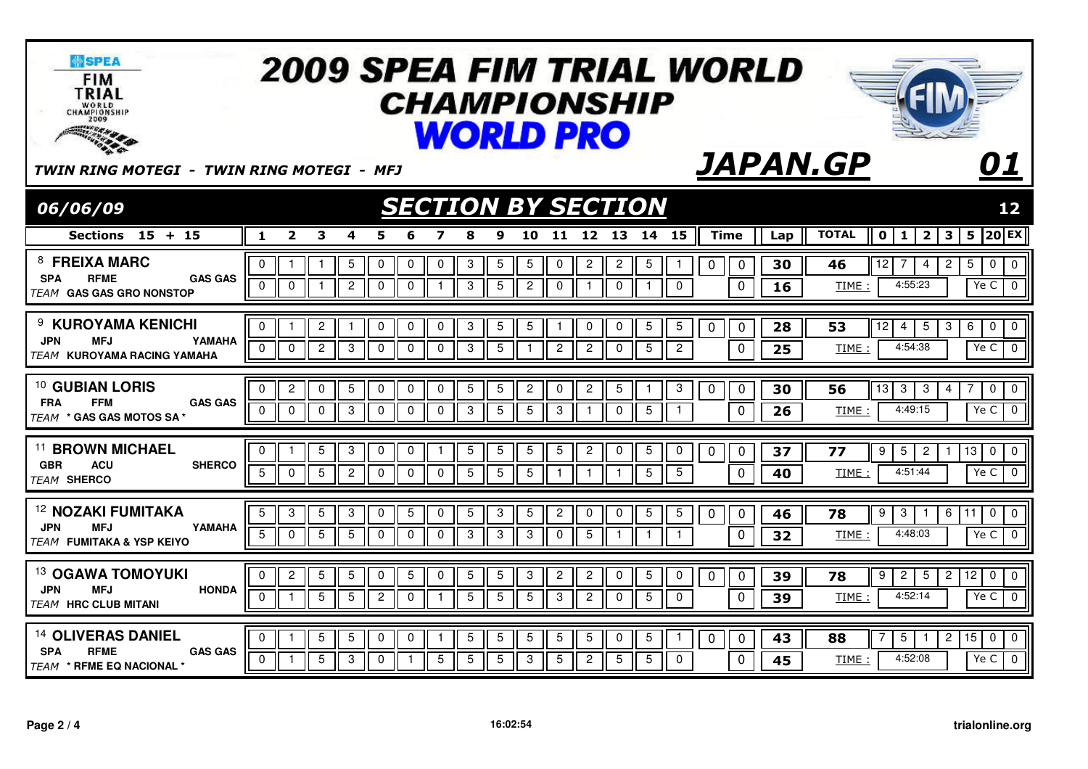| <b>WSPEA</b><br><b>FIM</b><br>TRIAL<br>WORLD<br>CHAMPIONSHIP<br><b>TOO SHOW OF BEAR</b>                          |                                                                         |                                                                                                   | <b>WORLD PRO</b>                                                                            | <b>2009 SPEA FIM TRIAL WORLD</b><br><i><b>CHAMPIONSHIP</b></i>                                                                |                                                        |                                                                                                                     |
|------------------------------------------------------------------------------------------------------------------|-------------------------------------------------------------------------|---------------------------------------------------------------------------------------------------|---------------------------------------------------------------------------------------------|-------------------------------------------------------------------------------------------------------------------------------|--------------------------------------------------------|---------------------------------------------------------------------------------------------------------------------|
| TWIN RING MOTEGI - TWIN RING MOTEGI - MFJ                                                                        |                                                                         |                                                                                                   |                                                                                             |                                                                                                                               | <b>JAPAN.GP</b>                                        | 01                                                                                                                  |
| 06/06/09                                                                                                         |                                                                         |                                                                                                   | <b>SECTION BY SECTION</b>                                                                   |                                                                                                                               |                                                        | 12                                                                                                                  |
| Sections $15 + 15$                                                                                               | $\overline{2}$<br>3<br>1                                                | 4<br>5                                                                                            | 11<br>9<br>10                                                                               | 12 13<br>15<br>14                                                                                                             | <b>Time</b><br><b>TOTAL</b><br>Lap                     | $ 20 $ EX<br>2 <sub>1</sub><br>3<br>$\mathbf{o}$<br>1<br>5                                                          |
| 8 FREIXA MARC<br><b>SPA</b><br><b>RFME</b><br><b>GAS GAS</b><br><b>TEAM GAS GAS GRO NONSTOP</b>                  | $\Omega$<br>$\mathbf 0$<br>$\mathbf 0$<br>$\mathbf{1}$                  | 5<br>0<br>$\mathbf 0$<br>0<br>$\mathbf{2}$<br>$\mathbf 0$<br>$\mathbf 0$<br>-1                    | $\sqrt{3}$<br>$\overline{5}$<br>5<br>0<br>$\sqrt{3}$<br>5<br>$\overline{c}$<br>$\mathbf 0$  | $\overline{c}$<br>$\overline{c}$<br>$\overline{5}$<br>$\mathbf 0$<br>$\mathbf 0$<br>0<br>$\mathbf{1}$<br>$\mathbf{1}$         | 30<br>$\mathbf 0$<br>46<br>$\mathbf 0$<br>16<br>TIME:  | $\pmb{0}$<br>$\overline{0}$<br>12<br>$\overline{2}$<br>$5\phantom{.0}$<br>-7<br>4<br>4:55:23<br>Ye C<br>$\mathbf 0$ |
| <sup>9</sup> KUROYAMA KENICHI<br><b>MFJ</b><br>YAMAHA<br><b>JPN</b><br><b>TEAM KUROYAMA RACING YAMAHA</b>        | $\Omega$<br>$\overline{2}$<br>$\mathbf 0$<br>$\overline{2}$<br>$\Omega$ | $\mathbf 0$<br>$\mathbf 0$<br>0<br>$\mathbf{1}$<br>$\mathbf 0$<br>$\mathbf 0$<br>3<br>$\mathbf 0$ | 5<br>3<br>5<br>-1<br>3<br>$5\phantom{.0}$<br>$\mathbf{2}$<br>-1                             | 5<br>$\mathbf 0$<br>5<br>0<br>$\mathbf 0$<br>$\overline{2}$<br>$5\phantom{.0}$<br>$\overline{2}$<br>$\mathbf{0}$              | 28<br>53<br>$\mathbf 0$<br>$\mathbf 0$<br>25<br>TIME   | $\overline{12}$<br>3<br>6<br>0<br>$\mathbf 0$<br>$\overline{4}$<br>5<br>4:54:38<br>Ye C<br>$\mathbf{0}$             |
| <sup>10</sup> GUBIAN LORIS<br><b>GAS GAS</b><br><b>FRA</b><br><b>FFM</b><br><b>TEAM * GAS GAS MOTOS SA *</b>     | $\overline{c}$<br>0<br>0<br>$\mathbf 0$<br>0<br>$\mathbf 0$             | 5<br>0<br>0<br>0<br>$\mathbf{3}$<br>$\overline{0}$<br>$\mathbf 0$<br>$\mathbf 0$                  | $\mathbf 5$<br>$\mathbf 5$<br>$\overline{c}$<br>0<br>$\mathbf{3}$<br>5<br>5<br>$\mathbf{3}$ | $\overline{c}$<br>5<br>$\mathbf{3}$<br>0<br>$5\phantom{.0}$<br>0<br>$\mathbf{1}$<br>$\mathbf{1}$                              | 30<br>56<br>0<br>$\mathbf 0$<br>26<br>TIME:            | $\overline{13}$<br>3<br>3<br>0<br>0<br>4<br>7<br>4:49:15<br>Ye C<br>$\mathbf 0$                                     |
| <sup>11</sup> BROWN MICHAEL<br><b>GBR</b><br><b>SHERCO</b><br><b>ACU</b><br><b>TEAM SHERCO</b>                   | 5<br>0<br>-1<br>5<br>$\mathbf 0$<br>5                                   | 3<br>0<br>0<br>$\overline{1}$<br>$\overline{2}$<br>$\mathbf 0$<br>$\mathbf 0$<br>$\mathbf 0$      | $\overline{5}$<br>5<br>5<br>5<br>5<br>$5\phantom{.0}$<br>5<br>$\mathbf{1}$                  | $\mathbf{2}$<br>0<br>5<br>0<br>0<br>5<br>$\overline{5}$<br>$\mathbf{1}$<br>$\mathbf{1}$                                       | 37<br>0<br>77<br>$\Omega$<br>40<br>TIME:               | 13<br>0<br>$\overline{0}$<br>9<br>5<br>2<br>$\mathbf 0$<br>4:51:44<br>Ye C                                          |
| <sup>12</sup> NOZAKI FUMITAKA<br><b>JPN</b><br><b>MFJ</b><br>YAMAHA<br><b>TFAM FUMITAKA &amp; YSP KEIYO</b>      | 5<br>$\mathbf 5$<br>3<br>5<br>$5\phantom{.0}$<br>0                      | 3<br>$\pmb{0}$<br>5<br>0<br>5<br>$\mathbf 0$<br>$\mathbf 0$<br>$\mathbf 0$                        | $\overline{5}$<br>3<br>5<br>$\overline{c}$<br>3<br>3<br>$\mathbf{3}$<br>$\mathbf 0$         | $\sqrt{5}$<br>$\overline{5}$<br>$\boldsymbol{0}$<br>0<br>0<br>$5\phantom{.0}$<br>$\mathbf{1}$<br>$\mathbf{1}$<br>$\mathbf{1}$ | $\mathbf 0$<br>46<br>78<br>$\mathbf 0$<br>32<br>TIME:  | 0<br>9<br>3<br>6<br>11<br>$\mathbf 0$<br>4:48:03<br>Ye C<br>$\overline{0}$                                          |
| <sup>13</sup> OGAWA TOMOYUKI<br><b>HONDA</b><br><b>JPN</b><br><b>MFJ</b><br><b>TEAM HRC CLUB MITANI</b>          | $\overline{c}$<br>5<br>$\mathbf 0$<br>$\overline{5}$<br>$\Omega$        | 5<br>0<br>5<br>0<br>$\overline{5}$<br>$\overline{2}$<br>$\mathbf 0$<br>$\overline{1}$             | $\overline{5}$<br>5<br>3<br>$\overline{c}$<br>$\overline{5}$<br>$\overline{5}$<br>5<br>3    | $\overline{c}$<br>$\overline{5}$<br>0<br>0<br>0<br>$\overline{5}$<br>$\overline{2}$<br>$\Omega$<br>$\mathbf 0$                | 39<br>78<br>0<br>$\overline{0}$<br>39<br>TIME:         | 9<br>2<br>5<br>$\overline{c}$<br>12<br>0<br>$\overline{0}$<br>4:52:14<br>$\overline{0}$<br>Ye C                     |
| <sup>14</sup> OLIVERAS DANIEL<br><b>SPA</b><br><b>RFME</b><br><b>GAS GAS</b><br><b>TEAM * RFME EQ NACIONAL *</b> | 5<br>$\mathbf 0$<br>5<br>$\Omega$<br>-1                                 | 5<br>$\pmb{0}$<br>$\mathbf 0$<br>-1<br>3<br>$\overline{0}$<br>5<br>$\mathbf{1}$                   | $\sqrt{5}$<br>$\overline{5}$<br>5<br>5<br>$\overline{5}$<br>5<br>3<br>5                     | 5<br>$\sqrt{5}$<br>0<br>$\mathbf 0$<br>5<br>$\overline{2}$<br>5<br>$\Omega$                                                   | 43<br>$\mathbf 0$<br>88<br>$\mathbf 0$<br>45<br>TIME : | 15<br>$\overline{5}$<br>$\overline{2}$<br>0<br>$\mathbf 0$<br>1<br>4:52:08<br>Ye C<br>$\overline{0}$                |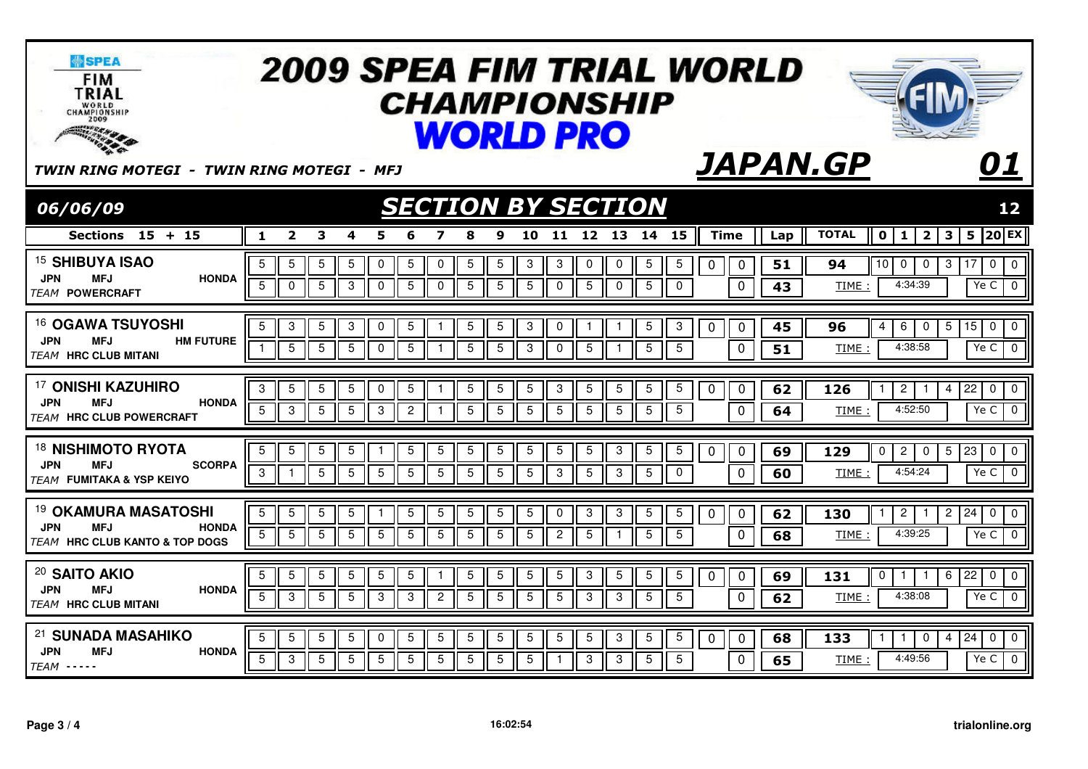| <b>SPEA</b><br><b>FIM</b><br>TRIAL<br>WORLD<br>CHAMPIONSHIP<br><b>SOUTHWESTER</b>                                        | <b>2009 SPEA FIM TRIAL WORLD</b><br><i><b>CHAMPIONSHIP</b></i><br><b>WORLD PRO</b>                                                                                                                                                                                                                                                                                                                 |                                                                                                                                           |
|--------------------------------------------------------------------------------------------------------------------------|----------------------------------------------------------------------------------------------------------------------------------------------------------------------------------------------------------------------------------------------------------------------------------------------------------------------------------------------------------------------------------------------------|-------------------------------------------------------------------------------------------------------------------------------------------|
| TWIN RING MOTEGI - TWIN RING MOTEGI - MFJ                                                                                |                                                                                                                                                                                                                                                                                                                                                                                                    | <b>JAPAN.GP</b><br>01                                                                                                                     |
| 06/06/09                                                                                                                 | <b>SECTION BY SECTION</b>                                                                                                                                                                                                                                                                                                                                                                          | 12                                                                                                                                        |
| Sections 15 + 15                                                                                                         | 11 12 13 14 15<br><b>Time</b><br>$\overline{2}$<br>3<br>10<br>1<br>4<br>5<br>9<br>8                                                                                                                                                                                                                                                                                                                | $ 20 $ EX<br><b>TOTAL</b><br>2 <sup>1</sup><br>3<br>5<br>$\mathbf 0$<br>1<br>Lap                                                          |
| <sup>15</sup> SHIBUYA ISAO<br><b>JPN</b><br><b>MFJ</b><br><b>HONDA</b><br><b>TEAM POWERCRAFT</b>                         | $5\phantom{.0}$<br>5<br>5<br>5<br>5<br>$\mathbf 0$<br>5<br>$\mathbf 0$<br>5<br>3<br>3<br>$\mathbf 0$<br>0<br>$5\phantom{.0}$<br>$5\phantom{.0}$<br>51<br>0<br>$\mathbf 0$<br>$\overline{5}$<br>$\overline{5}$<br>$\sqrt{5}$<br>$\overline{5}$<br>$\overline{5}$<br>$\overline{5}$<br>$5\phantom{.0}$<br>0<br>0<br>3<br>$\mathbf 0$<br>$\overline{5}$<br>$\mathbf 0$<br>0<br>$\mathbf 0$<br>43<br>0 | 10<br>0<br>$\overline{\mathbf{0}}$<br>94<br>$\overline{0}$<br>3<br>17<br>0<br>4:34:39<br>Ye C<br>$\mathbf 0$<br>TIME:                     |
| <sup>16</sup> OGAWA TSUYOSHI<br><b>JPN</b><br>MFJ<br><b>HM FUTURE</b><br><b>TEAM HRC CLUB MITANI</b>                     | $\overline{5}$<br>5<br>3<br>5<br>3<br>$\mathbf 0$<br>5<br>5<br>3<br>0<br>$\overline{5}$<br>3<br>$\mathbf{1}$<br>$\mathbf 0$<br>$\mathbf{1}$<br>$\mathbf{1}$<br>0<br>45<br>$5\phantom{.0}$<br>5<br>5<br>$5\phantom{.0}$<br>$\overline{5}$<br>$5\phantom{.0}$<br>5<br>$\mathbf 0$<br>$\mathbf 0$<br>5<br>3<br>$\mathbf 0$<br>$5\overline{)}$<br>$\overline{1}$<br>$\mathbf{1}$<br>51                 | 6<br>$5\phantom{.0}$<br>15<br>$\mathbf 0$<br>4<br>0<br>$\overline{0}$<br>96<br>4:38:58<br>Ye C<br>$\overline{0}$<br>TIME:                 |
| <sup>17</sup> ONISHI KAZUHIRO<br><b>JPN</b><br><b>MFJ</b><br><b>HONDA</b><br><b>TFAM HRC CLUB POWERCRAFT</b>             | 3<br>$\overline{5}$<br>5<br>5<br>0<br>5<br>$\overline{5}$<br>5<br>5<br>3<br>$5\phantom{.0}$<br>$\overline{5}$<br>5<br>5<br>$\pmb{0}$<br>62<br>-1<br>0<br>5<br>5<br>5<br>$5\phantom{.0}$<br>$5\phantom{.0}$<br>5<br>3<br>$5\,$<br>3<br>$\overline{2}$<br>5<br>5<br>$5\phantom{.0}$<br>5<br>$\mathbf 0$<br>64<br>-1                                                                                  | $\overline{c}$<br>22<br>0<br>$\mathbf 0$<br>126<br>$\overline{4}$<br>-1<br>1<br>4:52:50<br>Ye C<br>$\mathbf 0$<br>TIME:                   |
| <sup>18</sup> NISHIMOTO RYOTA<br><b>JPN</b><br><b>MFJ</b><br><b>SCORPA</b><br><b>TEAM FUMITAKA &amp; YSP KEIYO</b>       | 5<br>5<br>5<br>5<br>5<br>5<br>5<br>5<br>5<br>5<br>5<br>3<br>$\overline{5}$<br>5<br>0<br>$\mathbf 0$<br>69<br>-1<br>5<br>$\overline{5}$<br>$\overline{5}$<br>5<br>$\overline{5}$<br>$\overline{5}$<br>$\overline{5}$<br>$\mathbf 0$<br>$\overline{0}$<br>3<br>5<br>5<br>5<br>3<br>3<br>$\mathbf{1}$<br>60                                                                                           | $\overline{c}$<br>5<br>23<br>$\mathbf 0$<br>$\overline{0}$<br>129<br>0<br>0<br>4:54:24<br>$\mathbf{0}$<br>Ye C<br>TIME:                   |
| <sup>19</sup> OKAMURA MASATOSHI<br><b>JPN</b><br><b>MFJ</b><br><b>HONDA</b><br><b>TEAM HRC CLUB KANTO &amp; TOP DOGS</b> | 5<br>5<br>5<br>5<br>$\overline{5}$<br>$\overline{5}$<br>$\overline{5}$<br>$\overline{5}$<br>5<br>5<br>5<br>$\mathbf 0$<br>3<br>3<br>62<br>0<br>0<br>5<br>$5\phantom{.0}$<br>5<br>$\overline{5}$<br>5<br>5<br>5<br>$5\overline{5}$<br>$5\phantom{.0}$<br>5<br>5<br>$\overline{2}$<br>$5\phantom{.0}$<br>$5\phantom{.0}$<br>$\mathbf 0$<br>68<br>-1                                                  | $\overline{24}$<br>$\mathbf 0$<br>130<br>$\overline{2}$<br>$\overline{2}$<br>$\mathbf 0$<br>-1<br>4:39:25<br>Ye C<br>$\mathbf 0$<br>TIME: |
| <sup>20</sup> SAITO AKIO<br><b>HONDA</b><br><b>JPN</b><br><b>MFJ</b><br><b>TEAM HRC CLUB MITANI</b>                      | $\overline{5}$<br>5<br>5<br>5<br>5<br>5<br>5<br>5<br>$\overline{5}$<br>5<br>5<br>5<br>3<br>5<br>0<br>69<br>$\mathbf{1}$<br>0<br>$5\overline{)}$<br>5<br>3<br>$5\overline{)}$<br>5<br>3<br>$\overline{2}$<br>$5\,$<br>$5\phantom{.0}$<br>5<br>$5\overline{)}$<br>$\mathbf{3}$<br>$5\phantom{.0}$<br>$\mathbf 0$<br>3<br>3<br>62                                                                     | $\mathbf 0$<br>131<br>0<br>6<br>22<br>0<br>$\mathbf{1}$<br>1<br>4:38:08<br>Ye C<br>$\overline{0}$<br>TIME:                                |
| 21 SUNADA MASAHIKO<br><b>JPN</b><br><b>MFJ</b><br><b>HONDA</b><br>$TEAM$ -----                                           | 5<br>$\sqrt{5}$<br>$\mathbf 5$<br>$\overline{5}$<br>$\mathbf 5$<br>$5\phantom{.0}$<br>5<br>$\overline{5}$<br>5<br>5<br>$\pmb{0}$<br>$5\phantom{.0}$<br>5<br>$\overline{5}$<br>$\mathbf 3$<br>$\mathbf 0$<br>$\mathbf 0$<br>68<br>5<br>3<br>5<br>5<br>5<br>5<br>5<br>5<br>5<br>5<br>$5\phantom{.0}$<br>5<br>3<br>3<br>$\mathbf{0}$<br>65<br>$\mathbf{1}$                                            | $\overline{24}$<br>$\pmb{0}$<br>$\boldsymbol{0}$<br>133<br>0<br>$\overline{4}$<br>4:49:56<br>Ye C<br>$\overline{0}$<br>TIME:              |